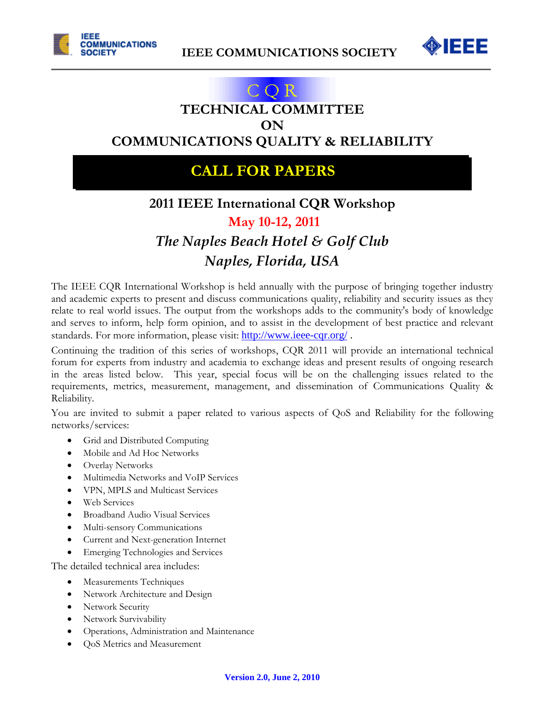



## COR **TECHNICAL COMMITTEE ON**

 $\mathcal{L}_\mathcal{L} = \mathcal{L}_\mathcal{L} = \mathcal{L}_\mathcal{L} = \mathcal{L}_\mathcal{L} = \mathcal{L}_\mathcal{L} = \mathcal{L}_\mathcal{L} = \mathcal{L}_\mathcal{L} = \mathcal{L}_\mathcal{L} = \mathcal{L}_\mathcal{L} = \mathcal{L}_\mathcal{L} = \mathcal{L}_\mathcal{L} = \mathcal{L}_\mathcal{L} = \mathcal{L}_\mathcal{L} = \mathcal{L}_\mathcal{L} = \mathcal{L}_\mathcal{L} = \mathcal{L}_\mathcal{L} = \mathcal{L}_\mathcal{L}$ 

**COMMUNICATIONS QUALITY & RELIABILITY**

## **CALL FOR PAPERS**

# **2011 IEEE International CQR Workshop**

### **May 10-12, 2011**

# *The Naples Beach Hotel & Golf Club Naples, Florida, USA*

The IEEE CQR International Workshop is held annually with the purpose of bringing together industry and academic experts to present and discuss communications quality, reliability and security issues as they relate to real world issues. The output from the workshops adds to the community's body of knowledge and serves to inform, help form opinion, and to assist in the development of best practice and relevant standards. For more information, please visit: http://www.ieee-cqr.org/ .

Continuing the tradition of this series of workshops, CQR 2011 will provide an international technical forum for experts from industry and academia to exchange ideas and present results of ongoing research in the areas listed below. This year, special focus will be on the challenging issues related to the requirements, metrics, measurement, management, and dissemination of Communications Quality & Reliability.

You are invited to submit a paper related to various aspects of QoS and Reliability for the following networks/services:

- Grid and Distributed Computing
- Mobile and Ad Hoc Networks
- Overlay Networks
- Multimedia Networks and VoIP Services
- VPN, MPLS and Multicast Services
- Web Services
- Broadband Audio Visual Services
- Multi-sensory Communications
- Current and Next-generation Internet
- Emerging Technologies and Services

The detailed technical area includes:

- Measurements Techniques
- Network Architecture and Design
- Network Security
- Network Survivability
- Operations, Administration and Maintenance
- QoS Metrics and Measurement